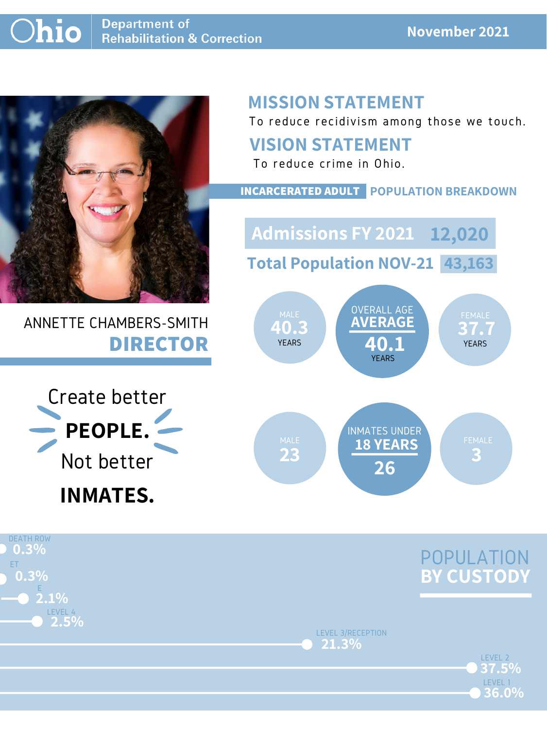

## ANNETTE CHAMBERS-SMITH **DIRECTOR**

## **MISSION STATEMENT**

To reduce recidivism among those we touch.





## **VISION STATEMENT**

To reduce crime in Ohio.



#### **INCARCERATED ADULT POPULATION BREAKDOWN**

**Total Population NOV-21 43,163**

**Admissions FY 2021 12,020**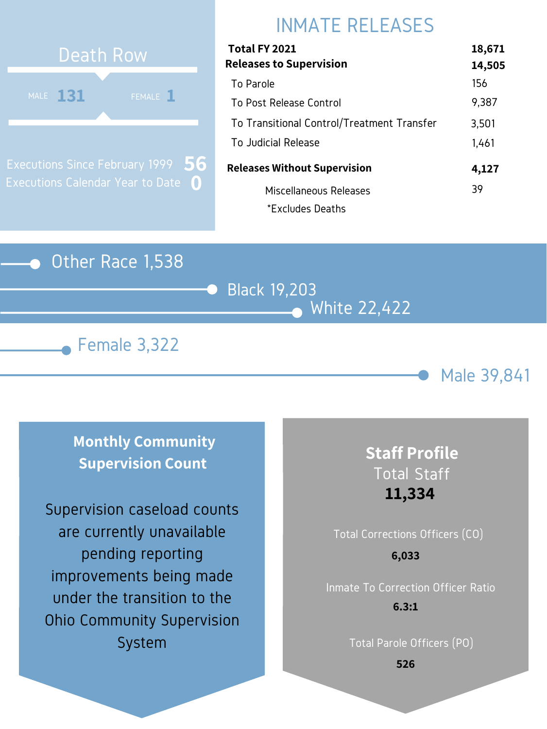## Other Race 1,538

Black 19,203 White 22,422





# INMATE RELEASES



Executions Since February 1999 Executions Calendar Year to Date **0 56**

| Total FY 2021                              | 18,671 |
|--------------------------------------------|--------|
| <b>Releases to Supervision</b>             | 14,505 |
| To Parole                                  | 156    |
| To Post Release Control                    | 9,387  |
| To Transitional Control/Treatment Transfer | 3,501  |
| To Judicial Release                        | 1,461  |
| <b>Releases Without Supervision</b>        | 4,127  |
| Miscellaneous Releases                     | 39     |
| *Excludes Deaths                           |        |

**Monthly Community Supervision Count**

# Total Corrections Officers (CO) **6,033**

## **Staff Profile** Total Staff **11,334**

Inmate To Correction Officer Ratio **6.3:1**

Total Parole Officers (PO)

**526**

Supervision caseload counts are currently unavailable pending reporting improvements being made under the transition to the Ohio Community Supervision System